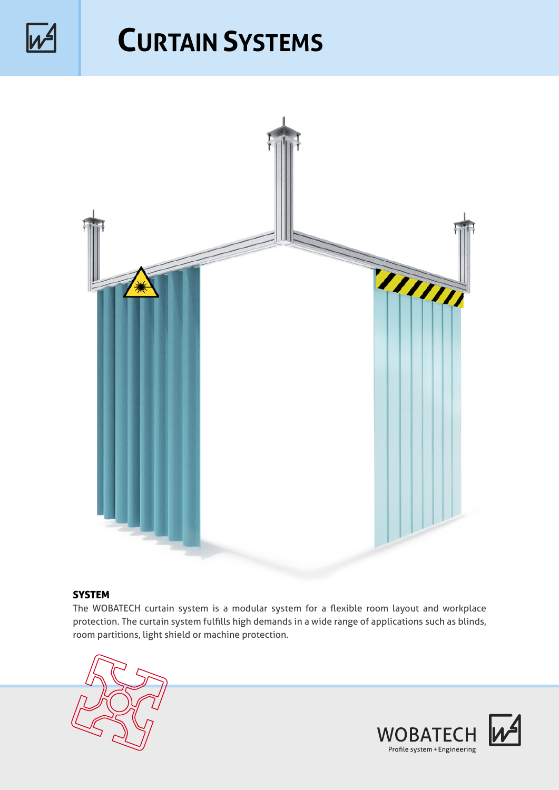

## **CURTAIN SYSTEMS**



## **SYSTEM**

The WOBATECH curtain system is a modular system for a flexible room layout and workplace protection. The curtain system fulfills high demands in a wide range of applications such as blinds, room partitions, light shield or machine protection.